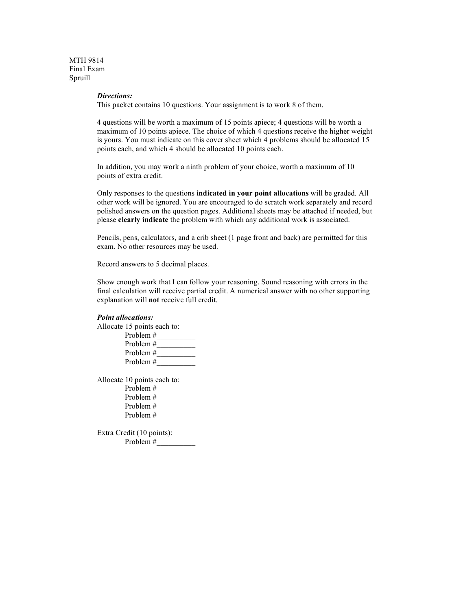MTH 9814 Final Exam Spruill

#### *Directions:*

This packet contains 10 questions. Your assignment is to work 8 of them.

4 questions will be worth a maximum of 15 points apiece; 4 questions will be worth a maximum of 10 points apiece. The choice of which 4 questions receive the higher weight is yours. You must indicate on this cover sheet which 4 problems should be allocated 15 points each, and which 4 should be allocated 10 points each.

In addition, you may work a ninth problem of your choice, worth a maximum of 10 points of extra credit.

Only responses to the questions **indicated in your point allocations** will be graded. All other work will be ignored. You are encouraged to do scratch work separately and record polished answers on the question pages. Additional sheets may be attached if needed, but please **clearly indicate** the problem with which any additional work is associated.

Pencils, pens, calculators, and a crib sheet (1 page front and back) are permitted for this exam. No other resources may be used.

Record answers to 5 decimal places.

Show enough work that I can follow your reasoning. Sound reasoning with errors in the final calculation will receive partial credit. A numerical answer with no other supporting explanation will **not** receive full credit.

### *Point allocations:*

Allocate 15 points each to:

| Problem #   |  |
|-------------|--|
| Problem #   |  |
| Problem $#$ |  |
| Problem $#$ |  |

Allocate 10 points each to:

| Problem $#$ |  |
|-------------|--|
| Problem $#$ |  |
| Problem $#$ |  |
| Problem $#$ |  |
|             |  |

Extra Credit (10 points): Problem #\_\_\_\_\_\_\_\_\_\_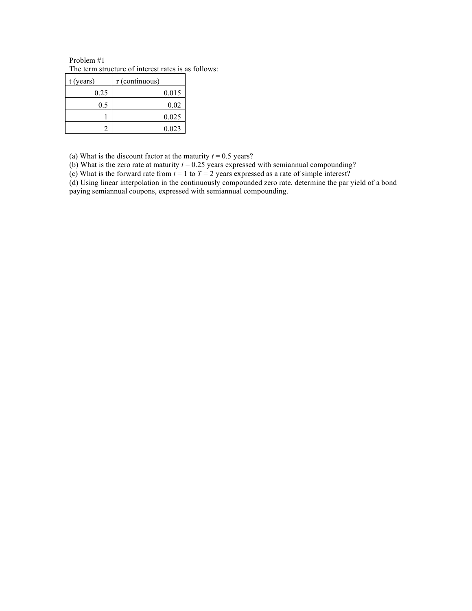Problem #1 The term structure of interest rates is as follows:

| $t$ (years) | r (continuous) |
|-------------|----------------|
| 0.25        | 0.015          |
| 0.5         | 0.02           |
|             | 0.025          |
|             | 0.023          |

(a) What is the discount factor at the maturity  $t = 0.5$  years?

(b) What is the zero rate at maturity  $t = 0.25$  years expressed with semiannual compounding?

(c) What is the forward rate from  $t = 1$  to  $T = 2$  years expressed as a rate of simple interest?

(d) Using linear interpolation in the continuously compounded zero rate, determine the par yield of a bond paying semiannual coupons, expressed with semiannual compounding.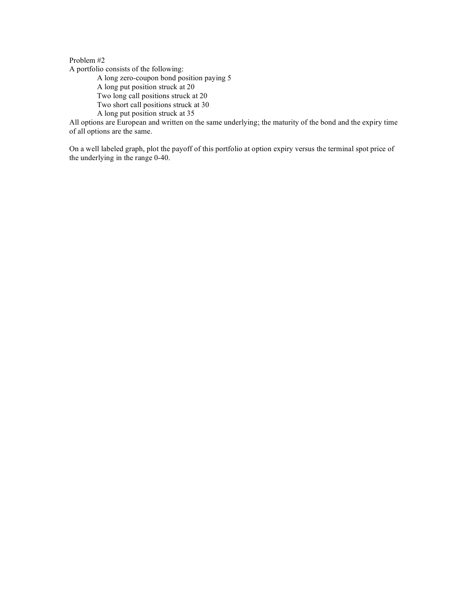A portfolio consists of the following:

A long zero-coupon bond position paying 5

A long put position struck at 20

Two long call positions struck at 20

Two short call positions struck at 30

A long put position struck at 35

All options are European and written on the same underlying; the maturity of the bond and the expiry time of all options are the same.

On a well labeled graph, plot the payoff of this portfolio at option expiry versus the terminal spot price of the underlying in the range 0-40.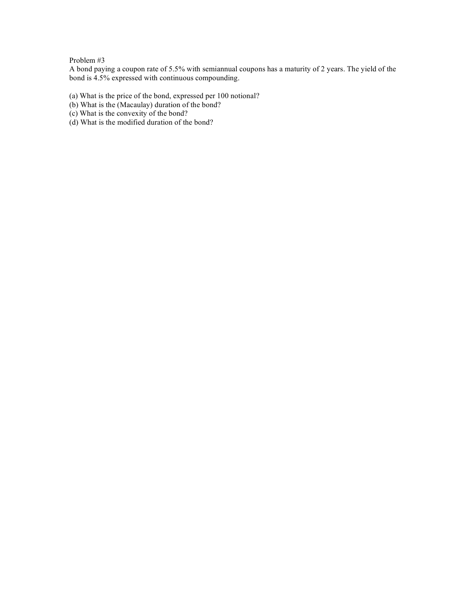A bond paying a coupon rate of 5.5% with semiannual coupons has a maturity of 2 years. The yield of the bond is 4.5% expressed with continuous compounding.

- (a) What is the price of the bond, expressed per 100 notional?
- (b) What is the (Macaulay) duration of the bond?
- (c) What is the convexity of the bond?
- (d) What is the modified duration of the bond?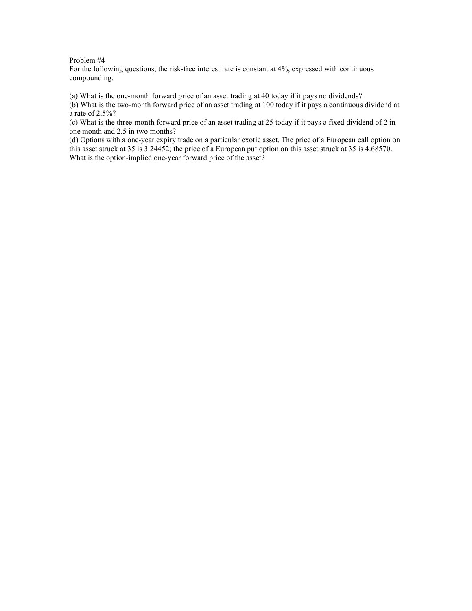For the following questions, the risk-free interest rate is constant at 4%, expressed with continuous compounding.

(a) What is the one-month forward price of an asset trading at 40 today if it pays no dividends?

(b) What is the two-month forward price of an asset trading at 100 today if it pays a continuous dividend at a rate of 2.5%?

(c) What is the three-month forward price of an asset trading at 25 today if it pays a fixed dividend of 2 in one month and 2.5 in two months?

(d) Options with a one-year expiry trade on a particular exotic asset. The price of a European call option on this asset struck at 35 is 3.24452; the price of a European put option on this asset struck at 35 is 4.68570. What is the option-implied one-year forward price of the asset?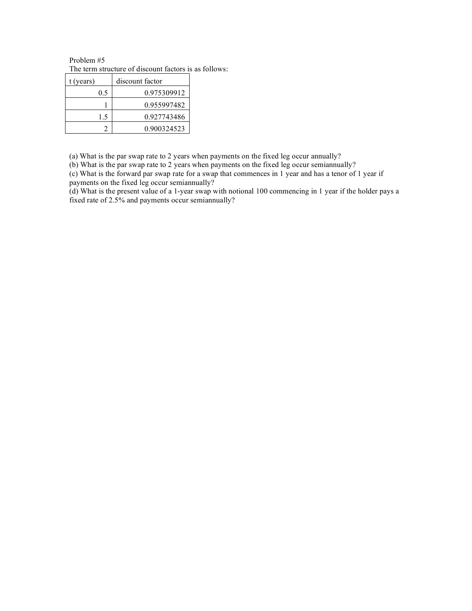Problem #5 The term structure of discount factors is as follows:

| t (years) | discount factor |
|-----------|-----------------|
| 0.5       | 0.975309912     |
|           | 0.955997482     |
| 15        | 0.927743486     |
|           | 0.900324523     |

(a) What is the par swap rate to 2 years when payments on the fixed leg occur annually?

(b) What is the par swap rate to 2 years when payments on the fixed leg occur semiannually?

(c) What is the forward par swap rate for a swap that commences in 1 year and has a tenor of 1 year if payments on the fixed leg occur semiannually?

(d) What is the present value of a 1-year swap with notional 100 commencing in 1 year if the holder pays a fixed rate of 2.5% and payments occur semiannually?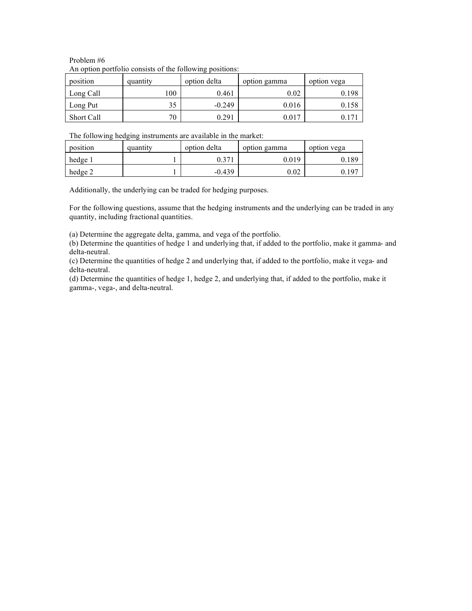### Problem #6 An option portfolio consists of the following positions:

| position   | quantity | option delta | option gamma | option vega |
|------------|----------|--------------|--------------|-------------|
| Long Call  | 100      | 0.461        | 0.02         | 0.198       |
| Long Put   | 35       | $-0.249$     | 0.016        | 0.158       |
| Short Call | 70       | 0.291        | 0.017        |             |

The following hedging instruments are available in the market:

| position | quantity | option delta | option gamma | option yega     |
|----------|----------|--------------|--------------|-----------------|
| hedge 1  |          | .1277        | 0.019        | 189             |
| hedge 2  |          | $-0.439$     | 0.02         | 19 <sup>7</sup> |

Additionally, the underlying can be traded for hedging purposes.

For the following questions, assume that the hedging instruments and the underlying can be traded in any quantity, including fractional quantities.

(a) Determine the aggregate delta, gamma, and vega of the portfolio.

(b) Determine the quantities of hedge 1 and underlying that, if added to the portfolio, make it gamma- and delta-neutral.

(c) Determine the quantities of hedge 2 and underlying that, if added to the portfolio, make it vega- and delta-neutral.

(d) Determine the quantities of hedge 1, hedge 2, and underlying that, if added to the portfolio, make it gamma-, vega-, and delta-neutral.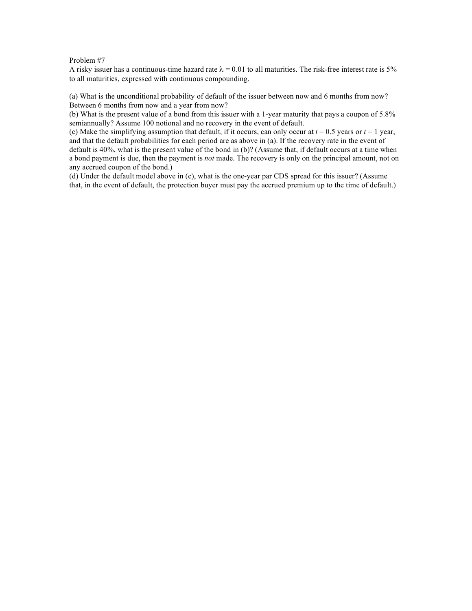A risky issuer has a continuous-time hazard rate  $\lambda = 0.01$  to all maturities. The risk-free interest rate is 5% to all maturities, expressed with continuous compounding.

(a) What is the unconditional probability of default of the issuer between now and 6 months from now? Between 6 months from now and a year from now?

(b) What is the present value of a bond from this issuer with a 1-year maturity that pays a coupon of 5.8% semiannually? Assume 100 notional and no recovery in the event of default.

(c) Make the simplifying assumption that default, if it occurs, can only occur at  $t = 0.5$  years or  $t = 1$  year, and that the default probabilities for each period are as above in (a). If the recovery rate in the event of default is 40%, what is the present value of the bond in (b)? (Assume that, if default occurs at a time when a bond payment is due, then the payment is *not* made. The recovery is only on the principal amount, not on any accrued coupon of the bond.)

(d) Under the default model above in (c), what is the one-year par CDS spread for this issuer? (Assume that, in the event of default, the protection buyer must pay the accrued premium up to the time of default.)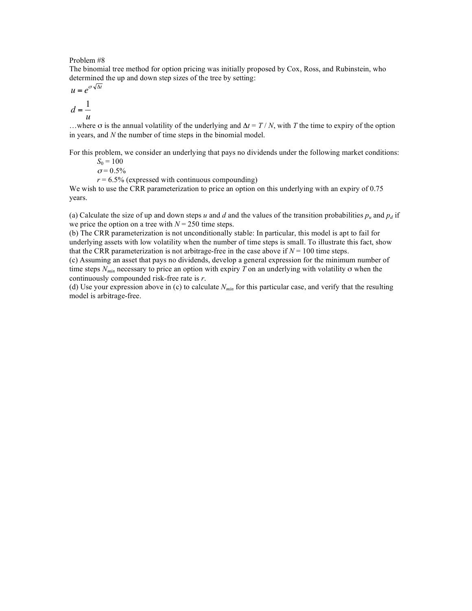The binomial tree method for option pricing was initially proposed by Cox, Ross, and Rubinstein, who determined the up and down step sizes of the tree by setting:

$$
u = e^{\sigma \sqrt{\Delta t}}
$$

$$
d = \frac{1}{\sigma}
$$

$$
u = -\frac{u}{u}
$$

…where  $\sigma$  is the annual volatility of the underlying and  $\Delta t = T/N$ , with *T* the time to expiry of the option in years, and *N* the number of time steps in the binomial model.

For this problem, we consider an underlying that pays no dividends under the following market conditions:

 $S_0 = 100$  $σ = 0.5%$ 

 $r = 6.5\%$  (expressed with continuous compounding)

We wish to use the CRR parameterization to price an option on this underlying with an expiry of 0.75 years.

(a) Calculate the size of up and down steps *u* and *d* and the values of the transition probabilities  $p_u$  and  $p_d$  if we price the option on a tree with  $N = 250$  time steps.

(b) The CRR parameterization is not unconditionally stable: In particular, this model is apt to fail for underlying assets with low volatility when the number of time steps is small. To illustrate this fact, show that the CRR parameterization is not arbitrage-free in the case above if  $N = 100$  time steps.

(c) Assuming an asset that pays no dividends, develop a general expression for the minimum number of time steps  $N_{min}$  necessary to price an option with expiry *T* on an underlying with volatility  $\sigma$  when the continuously compounded risk-free rate is *r*.

(d) Use your expression above in (c) to calculate *Nmin* for this particular case, and verify that the resulting model is arbitrage-free.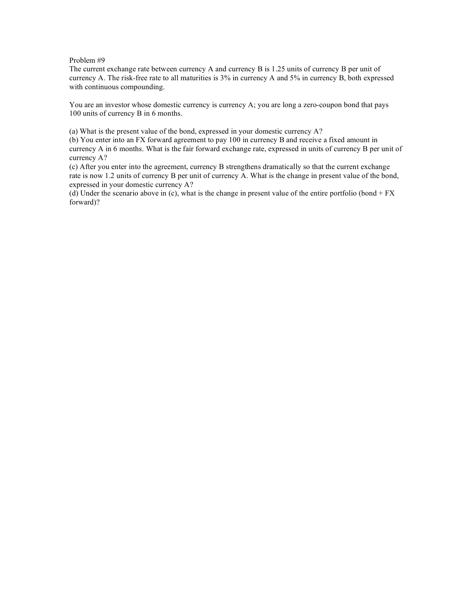The current exchange rate between currency A and currency B is 1.25 units of currency B per unit of currency A. The risk-free rate to all maturities is 3% in currency A and 5% in currency B, both expressed with continuous compounding.

You are an investor whose domestic currency is currency A; you are long a zero-coupon bond that pays 100 units of currency B in 6 months.

(a) What is the present value of the bond, expressed in your domestic currency A?

(b) You enter into an FX forward agreement to pay 100 in currency B and receive a fixed amount in currency A in 6 months. What is the fair forward exchange rate, expressed in units of currency B per unit of currency A?

(c) After you enter into the agreement, currency B strengthens dramatically so that the current exchange rate is now 1.2 units of currency B per unit of currency A. What is the change in present value of the bond, expressed in your domestic currency A?

(d) Under the scenario above in (c), what is the change in present value of the entire portfolio (bond  $+ FX$ forward)?